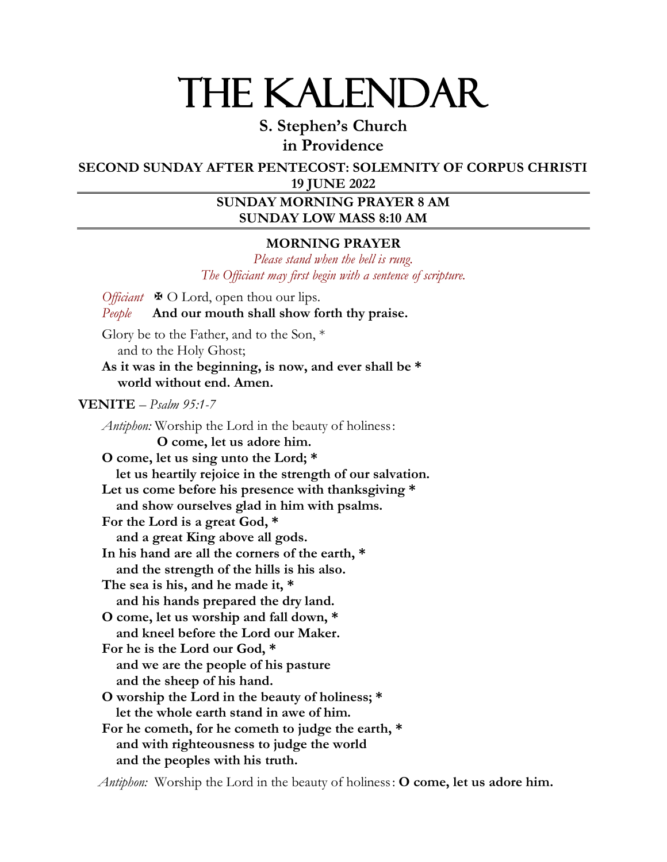# THE KALENDAR

**S. Stephen's Church in Providence**

**SECOND SUNDAY AFTER PENTECOST: SOLEMNITY OF CORPUS CHRISTI 19 JUNE 2022**

# **SUNDAY MORNING PRAYER 8 AM SUNDAY LOW MASS 8:10 AM**

## **MORNING PRAYER**

*Please stand when the bell is rung. The Officiant may first begin with a sentence of scripture.*

*Officiant*  $\oplus$  O Lord, open thou our lips. *People* **And our mouth shall show forth thy praise.** Glory be to the Father, and to the Son, \* and to the Holy Ghost; **As it was in the beginning, is now, and ever shall be \* world without end. Amen. VENITE** – *Psalm 95:1-7 Antiphon:* Worship the Lord in the beauty of holiness: **O come, let us adore him. O come, let us sing unto the Lord; \* let us heartily rejoice in the strength of our salvation. Let us come before his presence with thanksgiving \* and show ourselves glad in him with psalms. For the Lord is a great God, \* and a great King above all gods. In his hand are all the corners of the earth, \* and the strength of the hills is his also. The sea is his, and he made it, \* and his hands prepared the dry land. O come, let us worship and fall down, \* and kneel before the Lord our Maker. For he is the Lord our God, \* and we are the people of his pasture and the sheep of his hand. O worship the Lord in the beauty of holiness; \* let the whole earth stand in awe of him. For he cometh, for he cometh to judge the earth, \* and with righteousness to judge the world and the peoples with his truth.**

*Antiphon:* Worship the Lord in the beauty of holiness: **O come, let us adore him.**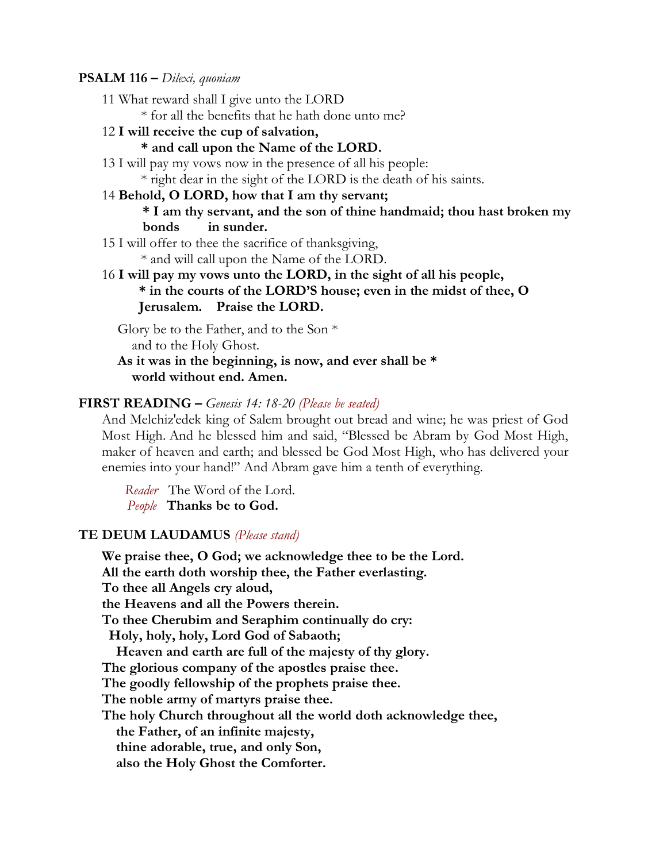#### **PSALM 116 –** *Dilexi, quoniam*

11 What reward shall I give unto the LORD

\* for all the benefits that he hath done unto me?

12 **I will receive the cup of salvation,** 

#### **\* and call upon the Name of the LORD.**

13 I will pay my vows now in the presence of all his people:

\* right dear in the sight of the LORD is the death of his saints.

## 14 **Behold, O LORD, how that I am thy servant;**

**\* I am thy servant, and the son of thine handmaid; thou hast broken my bonds in sunder.** 

15 I will offer to thee the sacrifice of thanksgiving,

\* and will call upon the Name of the LORD.

16 **I will pay my vows unto the LORD, in the sight of all his people, \* in the courts of the LORD'S house; even in the midst of thee, O Jerusalem. Praise the LORD.**

Glory be to the Father, and to the Son \* and to the Holy Ghost.

**As it was in the beginning, is now, and ever shall be \* world without end. Amen.**

#### **FIRST READING –** *Genesis 14: 18-20 (Please be seated)*

And Melchiz′edek king of Salem brought out bread and wine; he was priest of God Most High. And he blessed him and said, "Blessed be Abram by God Most High, maker of heaven and earth; and blessed be God Most High, who has delivered your enemies into your hand!" And Abram gave him a tenth of everything.

 *Reader* The Word of the Lord. *People* **Thanks be to God.**

#### **TE DEUM LAUDAMUS** *(Please stand)*

**We praise thee, O God; we acknowledge thee to be the Lord. All the earth doth worship thee, the Father everlasting. To thee all Angels cry aloud, the Heavens and all the Powers therein. To thee Cherubim and Seraphim continually do cry: Holy, holy, holy, Lord God of Sabaoth; Heaven and earth are full of the majesty of thy glory. The glorious company of the apostles praise thee. The goodly fellowship of the prophets praise thee. The noble army of martyrs praise thee. The holy Church throughout all the world doth acknowledge thee, the Father, of an infinite majesty, thine adorable, true, and only Son, also the Holy Ghost the Comforter.**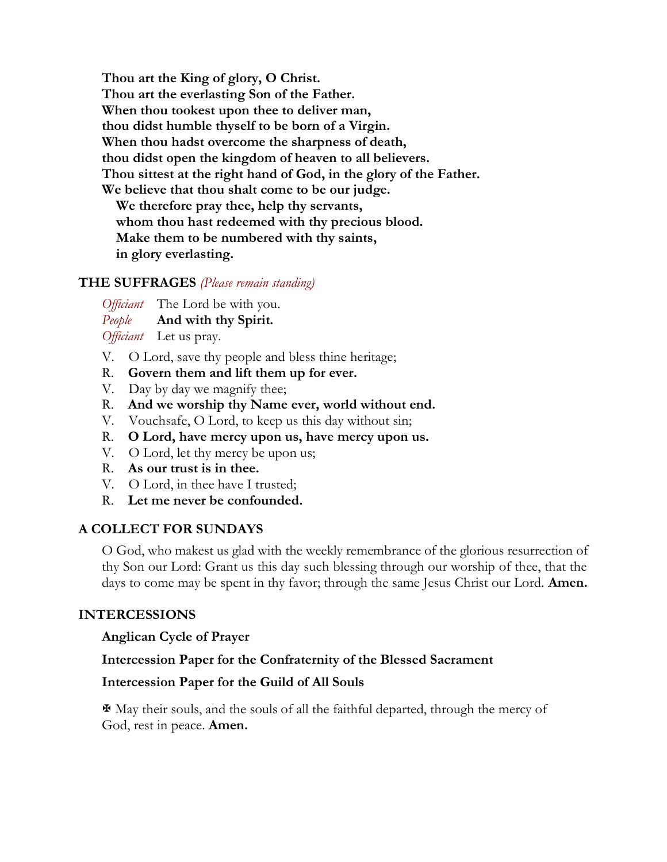**Thou art the King of glory, O Christ. Thou art the everlasting Son of the Father. When thou tookest upon thee to deliver man, thou didst humble thyself to be born of a Virgin. When thou hadst overcome the sharpness of death, thou didst open the kingdom of heaven to all believers. Thou sittest at the right hand of God, in the glory of the Father. We believe that thou shalt come to be our judge. We therefore pray thee, help thy servants, whom thou hast redeemed with thy precious blood. Make them to be numbered with thy saints, in glory everlasting.**

## **THE SUFFRAGES** *(Please remain standing)*

*Officiant* The Lord be with you. *People* **And with thy Spirit.**

*Officiant* Let us pray.

- V. O Lord, save thy people and bless thine heritage;
- R. **Govern them and lift them up for ever.**
- V. Day by day we magnify thee;
- R. **And we worship thy Name ever, world without end.**
- V. Vouchsafe, O Lord, to keep us this day without sin;
- R. **O Lord, have mercy upon us, have mercy upon us.**
- V. O Lord, let thy mercy be upon us;
- R. **As our trust is in thee.**
- V. O Lord, in thee have I trusted;
- R. **Let me never be confounded.**

## **A COLLECT FOR SUNDAYS**

O God, who makest us glad with the weekly remembrance of the glorious resurrection of thy Son our Lord: Grant us this day such blessing through our worship of thee, that the days to come may be spent in thy favor; through the same Jesus Christ our Lord. **Amen.**

## **INTERCESSIONS**

## **Anglican Cycle of Prayer**

## **Intercession Paper for the Confraternity of the Blessed Sacrament**

## **Intercession Paper for the Guild of All Souls**

 $\mathbf \Psi$  May their souls, and the souls of all the faithful departed, through the mercy of God, rest in peace. **Amen.**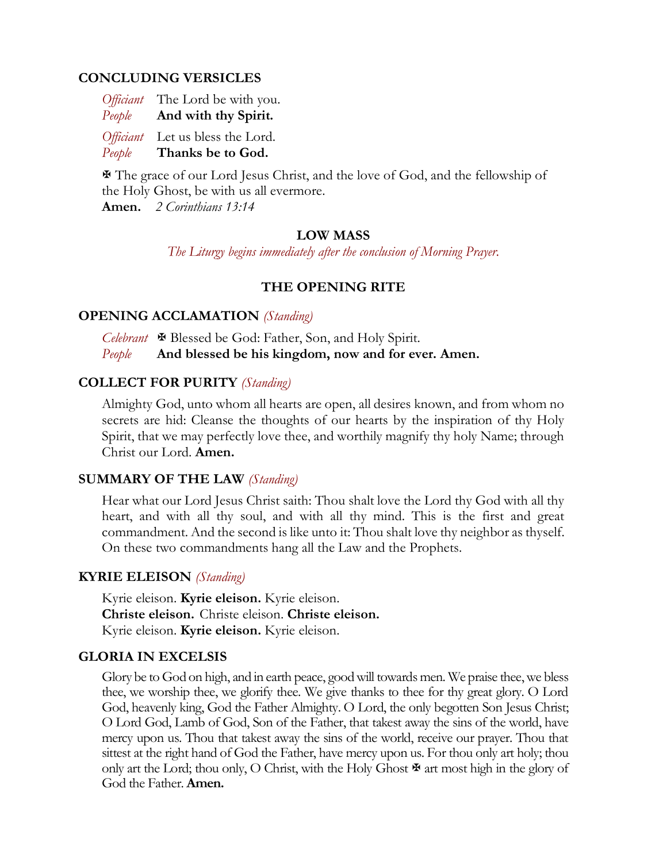## **CONCLUDING VERSICLES**

|        | Officiant The Lord be with you. |
|--------|---------------------------------|
| People | And with thy Spirit.            |

*Officiant* Let us bless the Lord. *People* **Thanks be to God.** 

 The grace of our Lord Jesus Christ, and the love of God, and the fellowship of the Holy Ghost, be with us all evermore.

**Amen.** *2 Corinthians 13:14*

## **LOW MASS**

*The Liturgy begins immediately after the conclusion of Morning Prayer.*

## **THE OPENING RITE**

## **OPENING ACCLAMATION** *(Standing)*

*Celebrant* Blessed be God: Father, Son, and Holy Spirit. *People* **And blessed be his kingdom, now and for ever. Amen.**

## **COLLECT FOR PURITY** *(Standing)*

Almighty God, unto whom all hearts are open, all desires known, and from whom no secrets are hid: Cleanse the thoughts of our hearts by the inspiration of thy Holy Spirit, that we may perfectly love thee, and worthily magnify thy holy Name; through Christ our Lord. **Amen.**

## **SUMMARY OF THE LAW** *(Standing)*

Hear what our Lord Jesus Christ saith: Thou shalt love the Lord thy God with all thy heart, and with all thy soul, and with all thy mind. This is the first and great commandment. And the second is like unto it: Thou shalt love thy neighbor as thyself. On these two commandments hang all the Law and the Prophets.

#### **KYRIE ELEISON** *(Standing)*

Kyrie eleison. **Kyrie eleison.** Kyrie eleison. **Christe eleison.** Christe eleison. **Christe eleison.** Kyrie eleison. **Kyrie eleison.** Kyrie eleison.

#### **GLORIA IN EXCELSIS**

Glory be to God on high, and in earth peace, good will towards men. We praise thee, we bless thee, we worship thee, we glorify thee. We give thanks to thee for thy great glory. O Lord God, heavenly king, God the Father Almighty. O Lord, the only begotten Son Jesus Christ; O Lord God, Lamb of God, Son of the Father, that takest away the sins of the world, have mercy upon us. Thou that takest away the sins of the world, receive our prayer. Thou that sittest at the right hand of God the Father, have mercy upon us. For thou only art holy; thou only art the Lord; thou only, O Christ, with the Holy Ghost  $\mathbb F$  art most high in the glory of God the Father. **Amen.**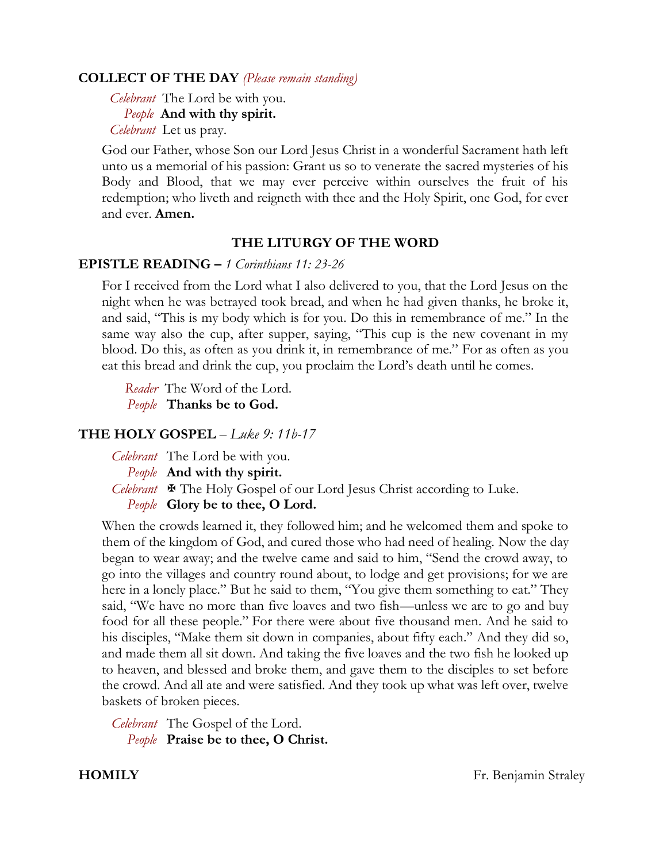## **COLLECT OF THE DAY** *(Please remain standing)*

*Celebrant* The Lord be with you.  *People* **And with thy spirit.** *Celebrant* Let us pray.

God our Father, whose Son our Lord Jesus Christ in a wonderful Sacrament hath left unto us a memorial of his passion: Grant us so to venerate the sacred mysteries of his Body and Blood, that we may ever perceive within ourselves the fruit of his redemption; who liveth and reigneth with thee and the Holy Spirit, one God, for ever and ever. **Amen.**

## **THE LITURGY OF THE WORD**

## **EPISTLE READING –** *1 Corinthians 11: 23-26*

For I received from the Lord what I also delivered to you, that the Lord Jesus on the night when he was betrayed took bread, and when he had given thanks, he broke it, and said, "This is my body which is for you. Do this in remembrance of me." In the same way also the cup, after supper, saying, "This cup is the new covenant in my blood. Do this, as often as you drink it, in remembrance of me." For as often as you eat this bread and drink the cup, you proclaim the Lord's death until he comes.

 *Reader* The Word of the Lord. *People* **Thanks be to God.**

## **THE HOLY GOSPEL** – *Luke 9: 11b-17*

*Celebrant* The Lord be with you. *People* **And with thy spirit.** *Celebrant*  $\mathbf{\Psi}$  The Holy Gospel of our Lord Jesus Christ according to Luke. *People* **Glory be to thee, O Lord.**

When the crowds learned it, they followed him; and he welcomed them and spoke to them of the kingdom of God, and cured those who had need of healing. Now the day began to wear away; and the twelve came and said to him, "Send the crowd away, to go into the villages and country round about, to lodge and get provisions; for we are here in a lonely place." But he said to them, "You give them something to eat." They said, "We have no more than five loaves and two fish—unless we are to go and buy food for all these people." For there were about five thousand men. And he said to his disciples, "Make them sit down in companies, about fifty each." And they did so, and made them all sit down. And taking the five loaves and the two fish he looked up to heaven, and blessed and broke them, and gave them to the disciples to set before the crowd. And all ate and were satisfied. And they took up what was left over, twelve baskets of broken pieces.

*Celebrant* The Gospel of the Lord. *People* **Praise be to thee, O Christ.**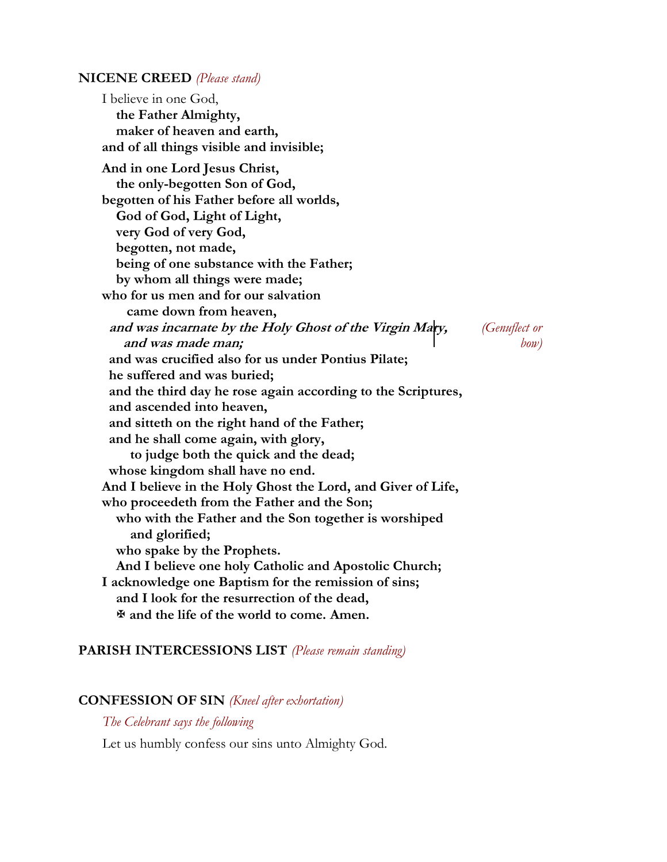#### **NICENE CREED** *(Please stand)*

I believe in one God,  **the Father Almighty, maker of heaven and earth, and of all things visible and invisible; And in one Lord Jesus Christ, the only-begotten Son of God, begotten of his Father before all worlds, God of God, Light of Light, very God of very God, begotten, not made, being of one substance with the Father; by whom all things were made; who for us men and for our salvation came down from heaven, and was incarnate by the Holy Ghost of the Virgin Mary,** *(Genuflect or*  **and was made man;** *bow)*  **and was crucified also for us under Pontius Pilate; he suffered and was buried; and the third day he rose again according to the Scriptures, and ascended into heaven, and sitteth on the right hand of the Father; and he shall come again, with glory, to judge both the quick and the dead; whose kingdom shall have no end. And I believe in the Holy Ghost the Lord, and Giver of Life, who proceedeth from the Father and the Son; who with the Father and the Son together is worshiped and glorified; who spake by the Prophets. And I believe one holy Catholic and Apostolic Church; I acknowledge one Baptism for the remission of sins; and I look for the resurrection of the dead, and the life of the world to come. Amen.**

## **PARISH INTERCESSIONS LIST** *(Please remain standing)*

#### **CONFESSION OF SIN** *(Kneel after exhortation)*

*The Celebrant says the following*

Let us humbly confess our sins unto Almighty God.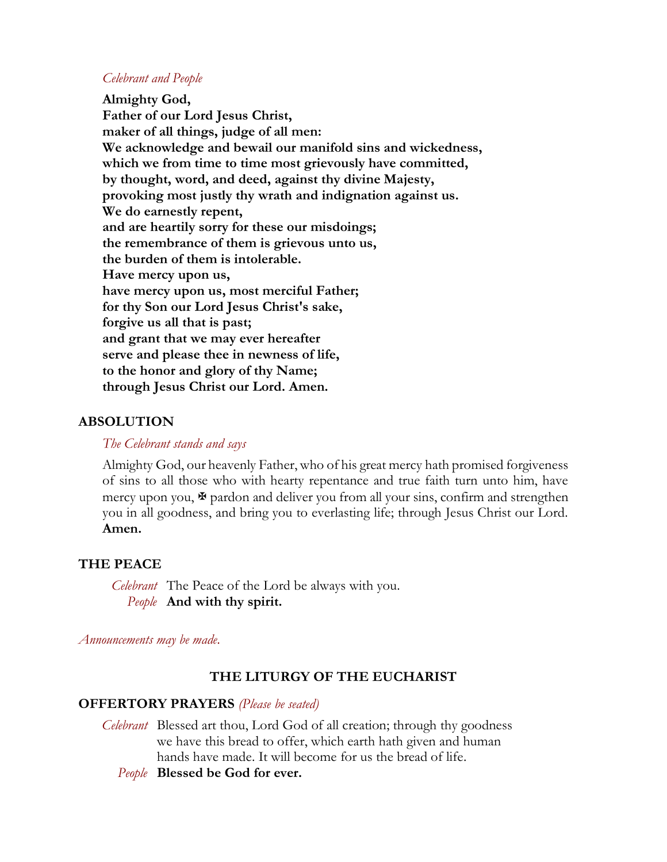## *Celebrant and People*

**Almighty God, Father of our Lord Jesus Christ, maker of all things, judge of all men: We acknowledge and bewail our manifold sins and wickedness, which we from time to time most grievously have committed, by thought, word, and deed, against thy divine Majesty, provoking most justly thy wrath and indignation against us. We do earnestly repent, and are heartily sorry for these our misdoings; the remembrance of them is grievous unto us, the burden of them is intolerable. Have mercy upon us, have mercy upon us, most merciful Father; for thy Son our Lord Jesus Christ's sake, forgive us all that is past; and grant that we may ever hereafter serve and please thee in newness of life, to the honor and glory of thy Name; through Jesus Christ our Lord. Amen.**

## **ABSOLUTION**

## *The Celebrant stands and says*

Almighty God, our heavenly Father, who of his great mercy hath promised forgiveness of sins to all those who with hearty repentance and true faith turn unto him, have mercy upon you,  $\mathcal F$  pardon and deliver you from all your sins, confirm and strengthen you in all goodness, and bring you to everlasting life; through Jesus Christ our Lord. **Amen.**

## **THE PEACE**

*Celebrant* The Peace of the Lord be always with you. *People* **And with thy spirit.**

*Announcements may be made.*

## **THE LITURGY OF THE EUCHARIST**

## **OFFERTORY PRAYERS** *(Please be seated)*

*Celebrant* Blessed art thou, Lord God of all creation; through thy goodness we have this bread to offer, which earth hath given and human hands have made. It will become for us the bread of life.

*People* **Blessed be God for ever.**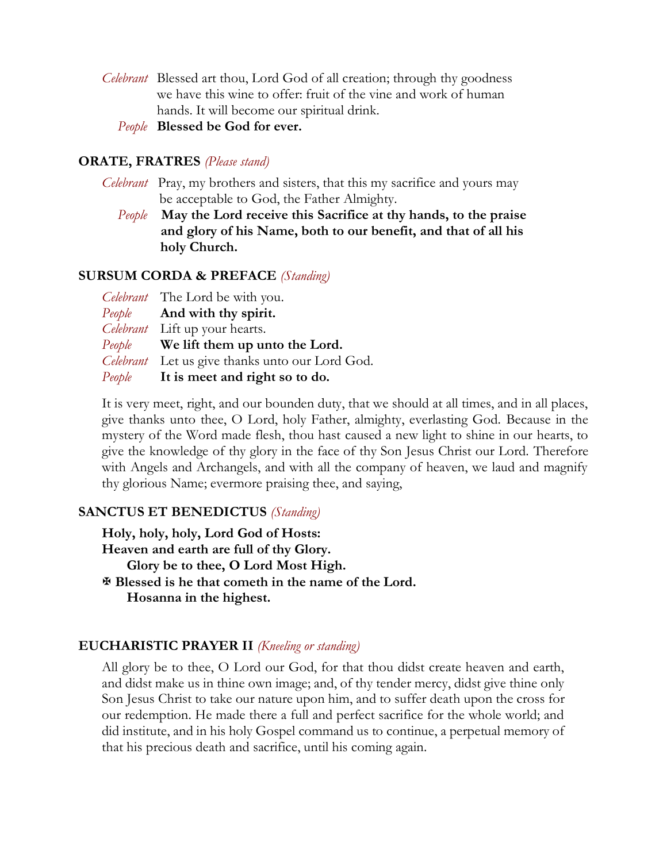*Celebrant* Blessed art thou, Lord God of all creation; through thy goodness we have this wine to offer: fruit of the vine and work of human hands. It will become our spiritual drink.

*People* **Blessed be God for ever.**

## **ORATE, FRATRES** *(Please stand)*

- *Celebrant* Pray, my brothers and sisters, that this my sacrifice and yours may be acceptable to God, the Father Almighty.
	- *People* **May the Lord receive this Sacrifice at thy hands, to the praise** **and glory of his Name, both to our benefit, and that of all his holy Church.**

## **SURSUM CORDA & PREFACE** *(Standing)*

| Celebrant The Lord be with you.                 |
|-------------------------------------------------|
| <i>People</i> And with thy spirit.              |
| Celebrant Lift up your hearts.                  |
| <i>People</i> We lift them up unto the Lord.    |
| Celebrant Let us give thanks unto our Lord God. |
| People It is meet and right so to do.           |

It is very meet, right, and our bounden duty, that we should at all times, and in all places, give thanks unto thee, O Lord, holy Father, almighty, everlasting God. Because in the mystery of the Word made flesh, thou hast caused a new light to shine in our hearts, to give the knowledge of thy glory in the face of thy Son Jesus Christ our Lord. Therefore with Angels and Archangels, and with all the company of heaven, we laud and magnify thy glorious Name; evermore praising thee, and saying,

## **SANCTUS ET BENEDICTUS** *(Standing)*

**Holy, holy, holy, Lord God of Hosts: Heaven and earth are full of thy Glory. Glory be to thee, O Lord Most High. Blessed is he that cometh in the name of the Lord. Hosanna in the highest.**

#### **EUCHARISTIC PRAYER II** *(Kneeling or standing)*

All glory be to thee, O Lord our God, for that thou didst create heaven and earth, and didst make us in thine own image; and, of thy tender mercy, didst give thine only Son Jesus Christ to take our nature upon him, and to suffer death upon the cross for our redemption. He made there a full and perfect sacrifice for the whole world; and did institute, and in his holy Gospel command us to continue, a perpetual memory of that his precious death and sacrifice, until his coming again.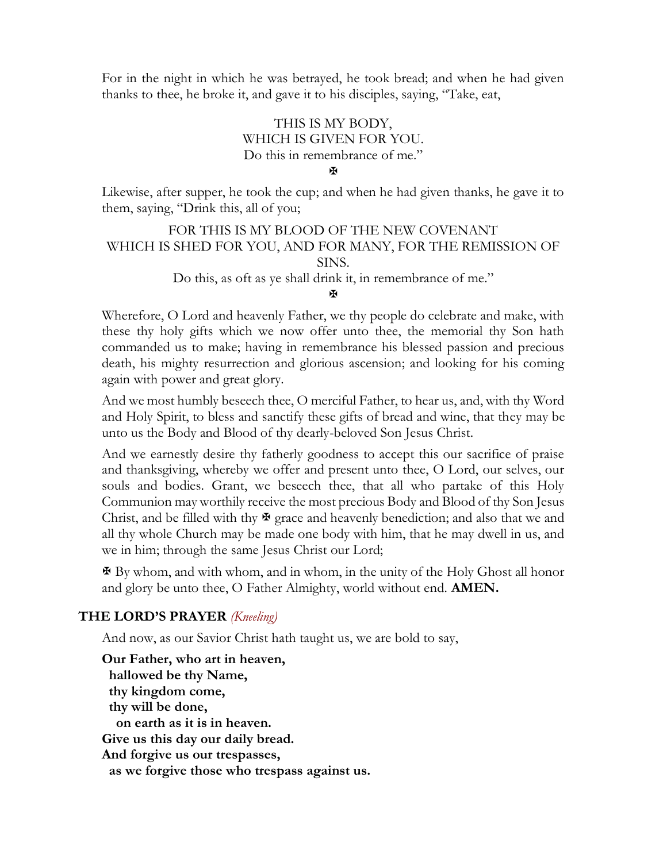For in the night in which he was betrayed, he took bread; and when he had given thanks to thee, he broke it, and gave it to his disciples, saying, "Take, eat,

# THIS IS MY BODY, WHICH IS GIVEN FOR YOU. Do this in remembrance of me."

¥

Likewise, after supper, he took the cup; and when he had given thanks, he gave it to them, saying, "Drink this, all of you;

FOR THIS IS MY BLOOD OF THE NEW COVENANT WHICH IS SHED FOR YOU, AND FOR MANY, FOR THE REMISSION OF SINS.

Do this, as oft as ye shall drink it, in remembrance of me."

#### **K**

Wherefore, O Lord and heavenly Father, we thy people do celebrate and make, with these thy holy gifts which we now offer unto thee, the memorial thy Son hath commanded us to make; having in remembrance his blessed passion and precious death, his mighty resurrection and glorious ascension; and looking for his coming again with power and great glory.

And we most humbly beseech thee, O merciful Father, to hear us, and, with thy Word and Holy Spirit, to bless and sanctify these gifts of bread and wine, that they may be unto us the Body and Blood of thy dearly-beloved Son Jesus Christ.

And we earnestly desire thy fatherly goodness to accept this our sacrifice of praise and thanksgiving, whereby we offer and present unto thee, O Lord, our selves, our souls and bodies. Grant, we beseech thee, that all who partake of this Holy Communion may worthily receive the most precious Body and Blood of thy Son Jesus Christ, and be filled with thy  $\mathcal{F}$  grace and heavenly benediction; and also that we and all thy whole Church may be made one body with him, that he may dwell in us, and we in him; through the same Jesus Christ our Lord;

 By whom, and with whom, and in whom, in the unity of the Holy Ghost all honor and glory be unto thee, O Father Almighty, world without end. **AMEN.**

# **THE LORD'S PRAYER** *(Kneeling)*

And now, as our Savior Christ hath taught us, we are bold to say,

**Our Father, who art in heaven, hallowed be thy Name, thy kingdom come, thy will be done, on earth as it is in heaven. Give us this day our daily bread. And forgive us our trespasses, as we forgive those who trespass against us.**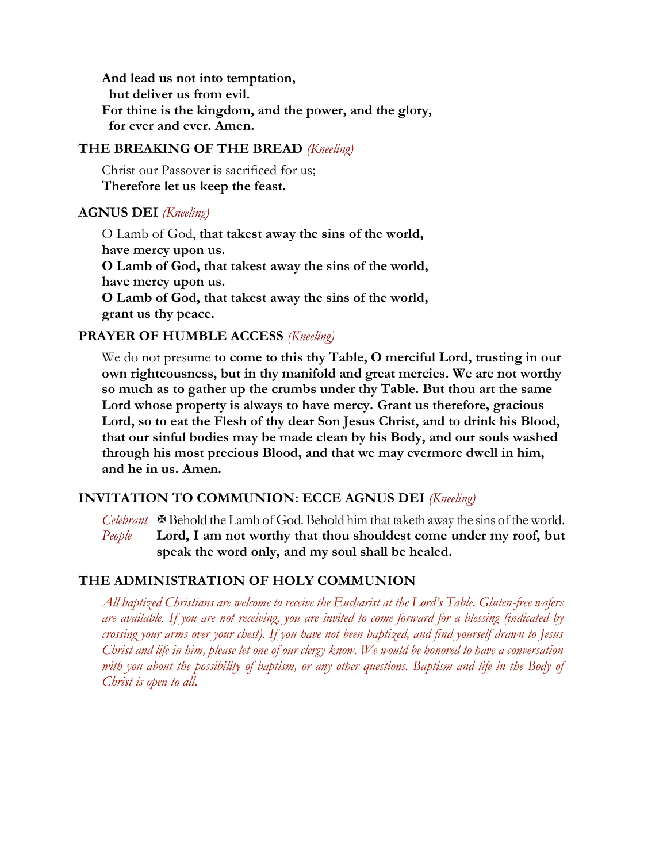**And lead us not into temptation, but deliver us from evil. For thine is the kingdom, and the power, and the glory, for ever and ever. Amen.**

## **THE BREAKING OF THE BREAD** *(Kneeling)*

Christ our Passover is sacrificed for us; **Therefore let us keep the feast.**

## **AGNUS DEI** *(Kneeling)*

O Lamb of God, **that takest away the sins of the world, have mercy upon us. O Lamb of God, that takest away the sins of the world, have mercy upon us. O Lamb of God, that takest away the sins of the world, grant us thy peace.**

# **PRAYER OF HUMBLE ACCESS** *(Kneeling)*

We do not presume **to come to this thy Table, O merciful Lord, trusting in our own righteousness, but in thy manifold and great mercies. We are not worthy so much as to gather up the crumbs under thy Table. But thou art the same Lord whose property is always to have mercy. Grant us therefore, gracious Lord, so to eat the Flesh of thy dear Son Jesus Christ, and to drink his Blood, that our sinful bodies may be made clean by his Body, and our souls washed through his most precious Blood, and that we may evermore dwell in him, and he in us. Amen.**

## **INVITATION TO COMMUNION: ECCE AGNUS DEI** *(Kneeling)*

*Celebrant*  $\mathbf{\Phi}$  Behold the Lamb of God. Behold him that taketh away the sins of the world. *People* **Lord, I am not worthy that thou shouldest come under my roof, but speak the word only, and my soul shall be healed.**

## **THE ADMINISTRATION OF HOLY COMMUNION**

*All baptized Christians are welcome to receive the Eucharist at the Lord's Table. Gluten-free wafers are available. If you are not receiving, you are invited to come forward for a blessing (indicated by crossing your arms over your chest). If you have not been baptized, and find yourself drawn to Jesus Christ and life in him, please let one of our clergy know. We would be honored to have a conversation with you about the possibility of baptism, or any other questions. Baptism and life in the Body of Christ is open to all.*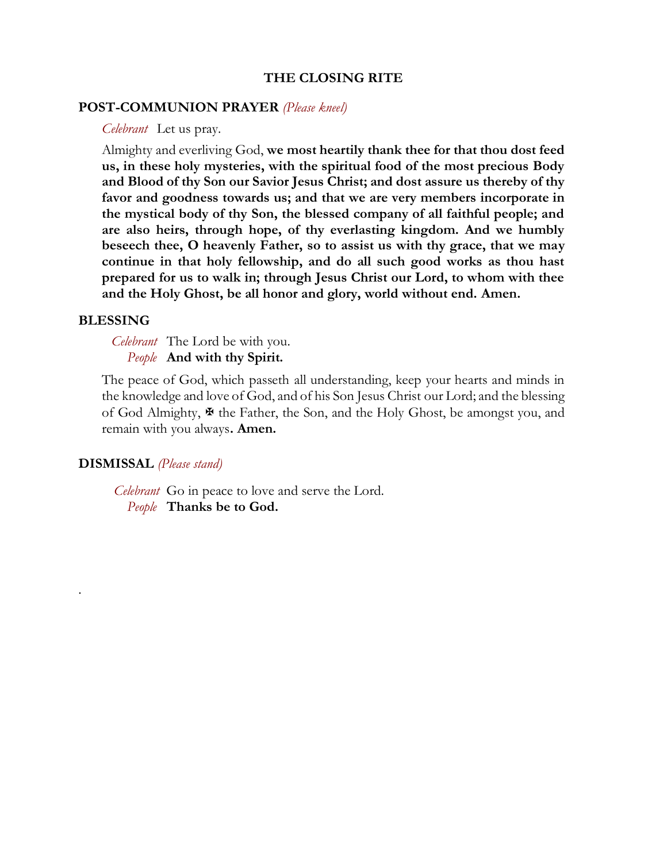## **THE CLOSING RITE**

#### **POST-COMMUNION PRAYER** *(Please kneel)*

*Celebrant* Let us pray.

Almighty and everliving God, **we most heartily thank thee for that thou dost feed us, in these holy mysteries, with the spiritual food of the most precious Body and Blood of thy Son our Savior Jesus Christ; and dost assure us thereby of thy favor and goodness towards us; and that we are very members incorporate in the mystical body of thy Son, the blessed company of all faithful people; and are also heirs, through hope, of thy everlasting kingdom. And we humbly beseech thee, O heavenly Father, so to assist us with thy grace, that we may continue in that holy fellowship, and do all such good works as thou hast prepared for us to walk in; through Jesus Christ our Lord, to whom with thee and the Holy Ghost, be all honor and glory, world without end. Amen.**

#### **BLESSING**

.

*Celebrant* The Lord be with you. *People* **And with thy Spirit.**

The peace of God, which passeth all understanding, keep your hearts and minds in the knowledge and love of God, and of his Son Jesus Christ our Lord; and the blessing of God Almighty,  $\mathcal F$  the Father, the Son, and the Holy Ghost, be amongst you, and remain with you always**. Amen.**

#### **DISMISSAL** *(Please stand)*

 *Celebrant* Go in peace to love and serve the Lord. *People* **Thanks be to God.**